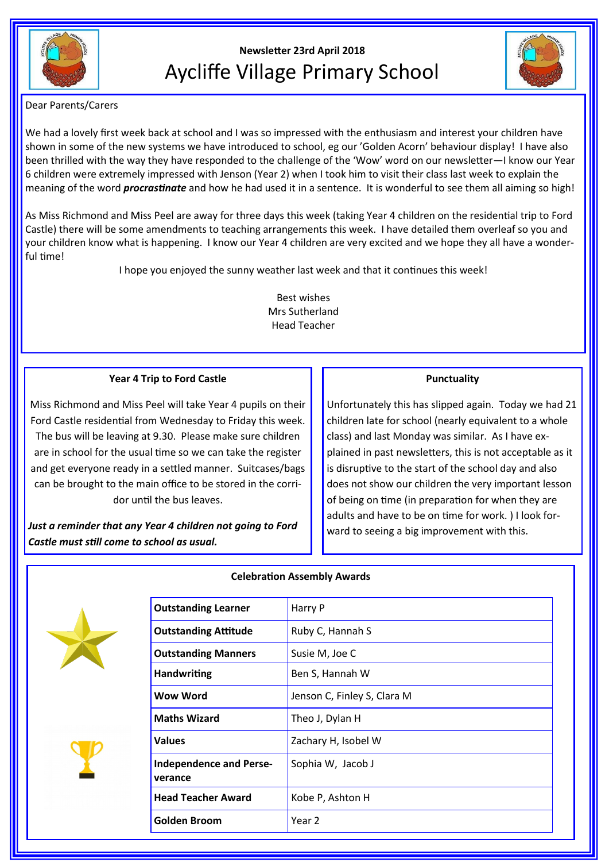

# **Newsletter 23rd April 2018** Aycliffe Village Primary School



Dear Parents/Carers

We had a lovely first week back at school and I was so impressed with the enthusiasm and interest your children have shown in some of the new systems we have introduced to school, eg our 'Golden Acorn' behaviour display! I have also been thrilled with the way they have responded to the challenge of the 'Wow' word on our newsletter—I know our Year 6 children were extremely impressed with Jenson (Year 2) when I took him to visit their class last week to explain the meaning of the word *procrastinate* and how he had used it in a sentence. It is wonderful to see them all aiming so high!

As Miss Richmond and Miss Peel are away for three days this week (taking Year 4 children on the residential trip to Ford Castle) there will be some amendments to teaching arrangements this week. I have detailed them overleaf so you and your children know what is happening. I know our Year 4 children are very excited and we hope they all have a wonderful time!

I hope you enjoyed the sunny weather last week and that it continues this week!

Best wishes Mrs Sutherland Head Teacher

### **Year 4 Trip to Ford Castle**

Miss Richmond and Miss Peel will take Year 4 pupils on their Ford Castle residential from Wednesday to Friday this week. The bus will be leaving at 9.30. Please make sure children are in school for the usual time so we can take the register and get everyone ready in a settled manner. Suitcases/bags can be brought to the main office to be stored in the corridor until the bus leaves.

*Just a reminder that any Year 4 children not going to Ford Castle must still come to school as usual.*

#### **Punctuality**

Unfortunately this has slipped again. Today we had 21 children late for school (nearly equivalent to a whole class) and last Monday was similar. As I have explained in past newsletters, this is not acceptable as it is disruptive to the start of the school day and also does not show our children the very important lesson of being on time (in preparation for when they are adults and have to be on time for work. ) I look forward to seeing a big improvement with this.







# **Celebration Assembly Awards**

| <b>Outstanding Learner</b>                | Harry P                     |
|-------------------------------------------|-----------------------------|
| <b>Outstanding Attitude</b>               | Ruby C, Hannah S            |
| <b>Outstanding Manners</b>                | Susie M, Joe C              |
| <b>Handwriting</b>                        | Ben S, Hannah W             |
| Wow Word                                  | Jenson C, Finley S, Clara M |
| <b>Maths Wizard</b>                       | Theo J, Dylan H             |
| <b>Values</b>                             | Zachary H, Isobel W         |
| <b>Independence and Perse-</b><br>verance | Sophia W, Jacob J           |
| <b>Head Teacher Award</b>                 | Kobe P, Ashton H            |
| <b>Golden Broom</b>                       | Year 2                      |
|                                           |                             |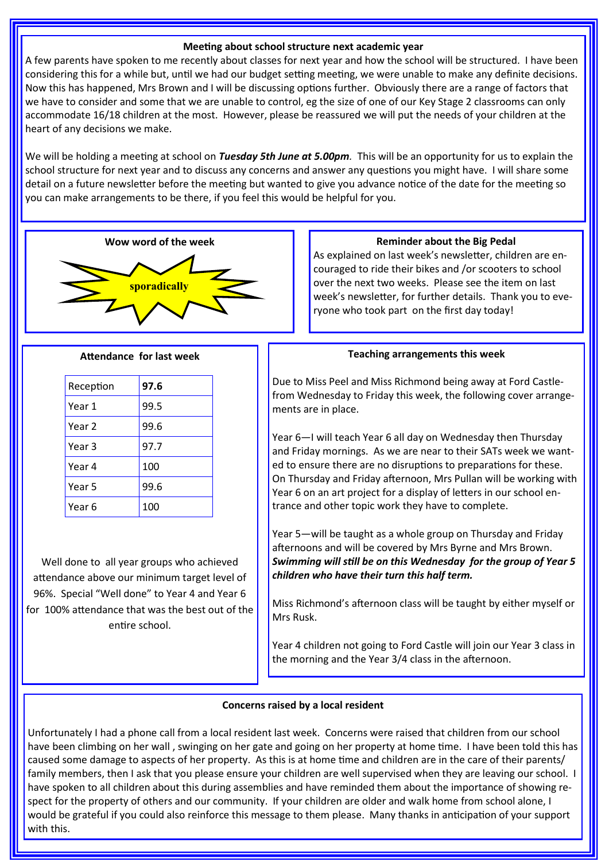#### **Meeting about school structure next academic year**

A few parents have spoken to me recently about classes for next year and how the school will be structured. I have been considering this for a while but, until we had our budget setting meeting, we were unable to make any definite decisions. Now this has happened, Mrs Brown and I will be discussing options further. Obviously there are a range of factors that we have to consider and some that we are unable to control, eg the size of one of our Key Stage 2 classrooms can only accommodate 16/18 children at the most. However, please be reassured we will put the needs of your children at the heart of any decisions we make.

We will be holding a meeting at school on *Tuesday 5th June at 5.00pm.* This will be an opportunity for us to explain the school structure for next year and to discuss any concerns and answer any questions you might have. I will share some detail on a future newsletter before the meeting but wanted to give you advance notice of the date for the meeting so you can make arrangements to be there, if you feel this would be helpful for you.



#### **Attendance for last week**

| Reception | 97.6 |
|-----------|------|
| Year 1    | 99.5 |
| Year 2    | 99.6 |
| Year 3    | 97.7 |
| Year 4    | 100  |
| Year 5    | 99.6 |
| Year 6    | 100  |

Well done to all year groups who achieved attendance above our minimum target level of 96%. Special "Well done" to Year 4 and Year 6 for 100% attendance that was the best out of the entire school.

As explained on last week's newsletter, children are encouraged to ride their bikes and /or scooters to school over the next two weeks. Please see the item on last week's newsletter, for further details. Thank you to everyone who took part on the first day today!

#### **Teaching arrangements this week**

Due to Miss Peel and Miss Richmond being away at Ford Castlefrom Wednesday to Friday this week, the following cover arrangements are in place.

Year 6—I will teach Year 6 all day on Wednesday then Thursday and Friday mornings. As we are near to their SATs week we wanted to ensure there are no disruptions to preparations for these. On Thursday and Friday afternoon, Mrs Pullan will be working with Year 6 on an art project for a display of letters in our school entrance and other topic work they have to complete.

Year 5—will be taught as a whole group on Thursday and Friday afternoons and will be covered by Mrs Byrne and Mrs Brown. *Swimming will still be on this Wednesday for the group of Year 5 children who have their turn this half term.*

Miss Richmond's afternoon class will be taught by either myself or Mrs Rusk.

Year 4 children not going to Ford Castle will join our Year 3 class in the morning and the Year 3/4 class in the afternoon.

#### **Concerns raised by a local resident**

Unfortunately I had a phone call from a local resident last week. Concerns were raised that children from our school have been climbing on her wall , swinging on her gate and going on her property at home time. I have been told this has caused some damage to aspects of her property. As this is at home time and children are in the care of their parents/ family members, then I ask that you please ensure your children are well supervised when they are leaving our school. I have spoken to all children about this during assemblies and have reminded them about the importance of showing respect for the property of others and our community. If your children are older and walk home from school alone, I would be grateful if you could also reinforce this message to them please. Many thanks in anticipation of your support with this.